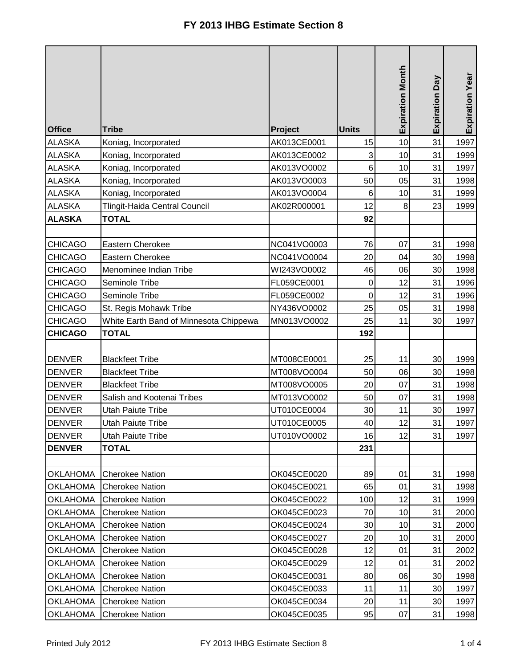|                 |                                        |             |              | <b>Expiration Month</b> | Day<br>Expiration | Expiration Year |
|-----------------|----------------------------------------|-------------|--------------|-------------------------|-------------------|-----------------|
| <b>Office</b>   | <b>Tribe</b>                           | Project     | <b>Units</b> |                         |                   |                 |
| <b>ALASKA</b>   | Koniag, Incorporated                   | AK013CE0001 | 15           | 10                      | 31                | 1997            |
| <b>ALASKA</b>   | Koniag, Incorporated                   | AK013CE0002 | 3            | 10                      | 31                | 1999            |
| <b>ALASKA</b>   | Koniag, Incorporated                   | AK013VO0002 | 6            | 10                      | 31                | 1997            |
| <b>ALASKA</b>   | Koniag, Incorporated                   | AK013VO0003 | 50           | 05                      | 31                | 1998            |
| <b>ALASKA</b>   | Koniag, Incorporated                   | AK013VO0004 | $\,6$        | 10                      | 31                | 1999            |
| <b>ALASKA</b>   | Tlingit-Haida Central Council          | AK02R000001 | 12           | 8                       | 23                | 1999            |
| <b>ALASKA</b>   | <b>TOTAL</b>                           |             | 92           |                         |                   |                 |
|                 |                                        |             |              |                         |                   |                 |
| <b>CHICAGO</b>  | Eastern Cherokee                       | NC041VO0003 | 76           | 07                      | 31                | 1998            |
| <b>CHICAGO</b>  | Eastern Cherokee                       | NC041VO0004 | 20           | 04                      | 30                | 1998            |
| <b>CHICAGO</b>  | Menominee Indian Tribe                 | WI243VO0002 | 46           | 06                      | 30                | 1998            |
| <b>CHICAGO</b>  | Seminole Tribe                         | FL059CE0001 | 0            | 12                      | 31                | 1996            |
| <b>CHICAGO</b>  | Seminole Tribe                         | FL059CE0002 | 0            | 12                      | 31                | 1996            |
| <b>CHICAGO</b>  | St. Regis Mohawk Tribe                 | NY436VO0002 | 25           | 05                      | 31                | 1998            |
| <b>CHICAGO</b>  | White Earth Band of Minnesota Chippewa | MN013VO0002 | 25           | 11                      | 30                | 1997            |
| <b>CHICAGO</b>  | <b>TOTAL</b>                           |             | 192          |                         |                   |                 |
|                 |                                        |             |              |                         |                   |                 |
| <b>DENVER</b>   | <b>Blackfeet Tribe</b>                 | MT008CE0001 | 25           | 11                      | 30                | 1999            |
| <b>DENVER</b>   | <b>Blackfeet Tribe</b>                 | MT008VO0004 | 50           | 06                      | 30                | 1998            |
| <b>DENVER</b>   | <b>Blackfeet Tribe</b>                 | MT008VO0005 | 20           | 07                      | 31                | 1998            |
| <b>DENVER</b>   | Salish and Kootenai Tribes             | MT013VO0002 | 50           | 07                      | 31                | 1998            |
| <b>DENVER</b>   | <b>Utah Paiute Tribe</b>               | UT010CE0004 | 30           | 11                      | 30                | 1997            |
| <b>DENVER</b>   | <b>Utah Paiute Tribe</b>               | UT010CE0005 | 40           | 12                      | 31                | 1997            |
| <b>DENVER</b>   | Utah Paiute Tribe                      | UT010VO0002 | 16           | 12                      | 31                | 1997            |
| <b>DENVER</b>   | <b>TOTAL</b>                           |             | 231          |                         |                   |                 |
|                 |                                        |             |              |                         |                   |                 |
| <b>OKLAHOMA</b> | <b>Cherokee Nation</b>                 | OK045CE0020 | 89           | 01                      | 31                | 1998            |
| <b>OKLAHOMA</b> | <b>Cherokee Nation</b>                 | OK045CE0021 | 65           | 01                      | 31                | 1998            |
| <b>OKLAHOMA</b> | <b>Cherokee Nation</b>                 | OK045CE0022 | 100          | 12                      | 31                | 1999            |
| <b>OKLAHOMA</b> | <b>Cherokee Nation</b>                 | OK045CE0023 | 70           | 10                      | 31                | 2000            |
| <b>OKLAHOMA</b> | <b>Cherokee Nation</b>                 | OK045CE0024 | 30           | 10                      | 31                | 2000            |
| <b>OKLAHOMA</b> | <b>Cherokee Nation</b>                 | OK045CE0027 | 20           | 10                      | 31                | 2000            |
| <b>OKLAHOMA</b> | <b>Cherokee Nation</b>                 | OK045CE0028 | 12           | 01                      | 31                | 2002            |
| <b>OKLAHOMA</b> | <b>Cherokee Nation</b>                 | OK045CE0029 | 12           | 01                      | 31                | 2002            |
| <b>OKLAHOMA</b> | <b>Cherokee Nation</b>                 | OK045CE0031 | 80           | 06                      | 30                | 1998            |
| <b>OKLAHOMA</b> | <b>Cherokee Nation</b>                 | OK045CE0033 | 11           | 11                      | 30                | 1997            |
| <b>OKLAHOMA</b> | <b>Cherokee Nation</b>                 | OK045CE0034 | 20           | 11                      | 30                | 1997            |
| <b>OKLAHOMA</b> | <b>Cherokee Nation</b>                 | OK045CE0035 | 95           | 07                      | 31                | 1998            |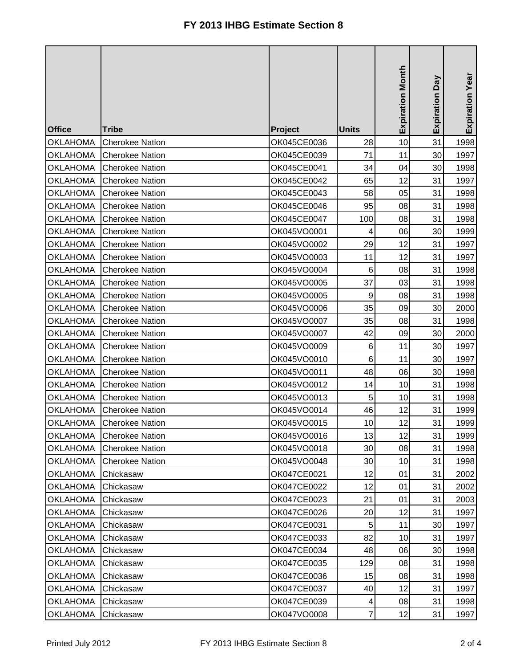| <b>Office</b>   | <b>Tribe</b>           | Project     | <b>Units</b>   | <b>Expiration Month</b> | Expiration Day | Expiration Year |
|-----------------|------------------------|-------------|----------------|-------------------------|----------------|-----------------|
| <b>OKLAHOMA</b> | <b>Cherokee Nation</b> | OK045CE0036 | 28             | 10                      | 31             | 1998            |
| <b>OKLAHOMA</b> | <b>Cherokee Nation</b> | OK045CE0039 | 71             | 11                      | 30             | 1997            |
| <b>OKLAHOMA</b> | <b>Cherokee Nation</b> | OK045CE0041 | 34             | 04                      | 30             | 1998            |
| <b>OKLAHOMA</b> | <b>Cherokee Nation</b> | OK045CE0042 | 65             | 12                      | 31             | 1997            |
| <b>OKLAHOMA</b> | <b>Cherokee Nation</b> | OK045CE0043 | 58             | 05                      | 31             | 1998            |
| <b>OKLAHOMA</b> | <b>Cherokee Nation</b> | OK045CE0046 | 95             | 08                      | 31             | 1998            |
| <b>OKLAHOMA</b> | <b>Cherokee Nation</b> | OK045CE0047 | 100            | 08                      | 31             | 1998            |
| <b>OKLAHOMA</b> | <b>Cherokee Nation</b> | OK045VO0001 | 4              | 06                      | 30             | 1999            |
| <b>OKLAHOMA</b> | <b>Cherokee Nation</b> | OK045VO0002 | 29             | 12                      | 31             | 1997            |
| <b>OKLAHOMA</b> | <b>Cherokee Nation</b> | OK045VO0003 | 11             | 12                      | 31             | 1997            |
| <b>OKLAHOMA</b> | <b>Cherokee Nation</b> | OK045VO0004 | 6              | 08                      | 31             | 1998            |
| <b>OKLAHOMA</b> | <b>Cherokee Nation</b> | OK045VO0005 | 37             | 03                      | 31             | 1998            |
| <b>OKLAHOMA</b> | <b>Cherokee Nation</b> | OK045VO0005 | 9              | 08                      | 31             | 1998            |
| <b>OKLAHOMA</b> | <b>Cherokee Nation</b> | OK045VO0006 | 35             | 09                      | 30             | 2000            |
| <b>OKLAHOMA</b> | <b>Cherokee Nation</b> | OK045VO0007 | 35             | 08                      | 31             | 1998            |
| <b>OKLAHOMA</b> | <b>Cherokee Nation</b> | OK045VO0007 | 42             | 09                      | 30             | 2000            |
| <b>OKLAHOMA</b> | <b>Cherokee Nation</b> | OK045VO0009 | $\,6$          | 11                      | 30             | 1997            |
| <b>OKLAHOMA</b> | <b>Cherokee Nation</b> | OK045VO0010 | 6              | 11                      | 30             | 1997            |
| <b>OKLAHOMA</b> | <b>Cherokee Nation</b> | OK045VO0011 | 48             | 06                      | 30             | 1998            |
| <b>OKLAHOMA</b> | <b>Cherokee Nation</b> | OK045VO0012 | 14             | 10                      | 31             | 1998            |
| <b>OKLAHOMA</b> | <b>Cherokee Nation</b> | OK045VO0013 | 5              | 10                      | 31             | 1998            |
| <b>OKLAHOMA</b> | <b>Cherokee Nation</b> | OK045VO0014 | 46             | 12                      | 31             | 1999            |
| <b>OKLAHOMA</b> | <b>Cherokee Nation</b> | OK045VO0015 | 10             | 12                      | 31             | 1999            |
| <b>OKLAHOMA</b> | <b>Cherokee Nation</b> | OK045VO0016 | 13             | 12                      | 31             | 1999            |
| <b>OKLAHOMA</b> | <b>Cherokee Nation</b> | OK045VO0018 | 30             | 08                      | 31             | 1998            |
| <b>OKLAHOMA</b> | <b>Cherokee Nation</b> | OK045VO0048 | 30             | 10                      | 31             | 1998            |
| <b>OKLAHOMA</b> | Chickasaw              | OK047CE0021 | 12             | 01                      | 31             | 2002            |
| <b>OKLAHOMA</b> | Chickasaw              | OK047CE0022 | 12             | 01                      | 31             | 2002            |
| <b>OKLAHOMA</b> | Chickasaw              | OK047CE0023 | 21             | 01                      | 31             | 2003            |
| <b>OKLAHOMA</b> | Chickasaw              | OK047CE0026 | 20             | 12                      | 31             | 1997            |
| <b>OKLAHOMA</b> | Chickasaw              | OK047CE0031 | 5              | 11                      | 30             | 1997            |
| <b>OKLAHOMA</b> | Chickasaw              | OK047CE0033 | 82             | 10                      | 31             | 1997            |
| <b>OKLAHOMA</b> | Chickasaw              | OK047CE0034 | 48             | 06                      | 30             | 1998            |
| <b>OKLAHOMA</b> | Chickasaw              | OK047CE0035 | 129            | 08                      | 31             | 1998            |
| <b>OKLAHOMA</b> | Chickasaw              | OK047CE0036 | 15             | 08                      | 31             | 1998            |
| <b>OKLAHOMA</b> | Chickasaw              | OK047CE0037 | 40             | 12                      | 31             | 1997            |
| <b>OKLAHOMA</b> | Chickasaw              | OK047CE0039 | 4              | 08                      | 31             | 1998            |
| <b>OKLAHOMA</b> | Chickasaw              | OK047VO0008 | $\overline{7}$ | 12                      | 31             | 1997            |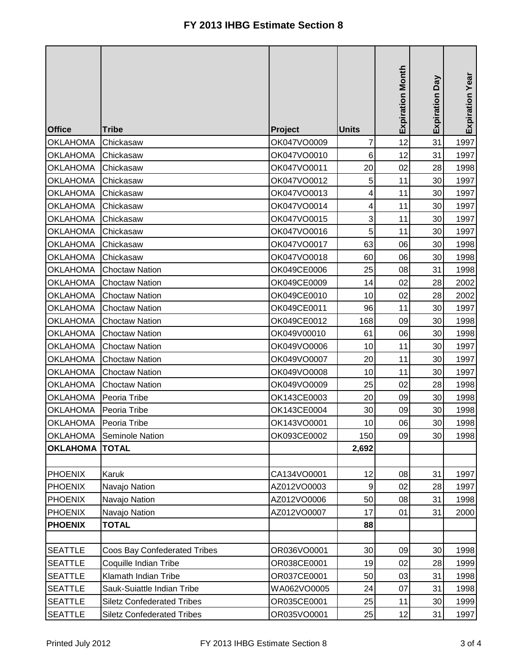|                 |                                   |             |              | <b>Expiration Month</b> | Day<br>Expiration | Expiration Year |
|-----------------|-----------------------------------|-------------|--------------|-------------------------|-------------------|-----------------|
| <b>Office</b>   | <b>Tribe</b>                      | Project     | <b>Units</b> |                         |                   |                 |
| <b>OKLAHOMA</b> | Chickasaw                         | OK047VO0009 | 7            | 12                      | 31                | 1997            |
| <b>OKLAHOMA</b> | Chickasaw                         | OK047VO0010 | 6            | 12                      | 31                | 1997            |
| <b>OKLAHOMA</b> | Chickasaw                         | OK047VO0011 | 20           | 02                      | 28                | 1998            |
| <b>OKLAHOMA</b> | Chickasaw                         | OK047VO0012 | 5            | 11                      | 30                | 1997            |
| <b>OKLAHOMA</b> | Chickasaw                         | OK047VO0013 | 4            | 11                      | 30                | 1997            |
| <b>OKLAHOMA</b> | Chickasaw                         | OK047VO0014 | 4            | 11                      | 30                | 1997            |
| <b>OKLAHOMA</b> | Chickasaw                         | OK047VO0015 | 3            | 11                      | 30                | 1997            |
| <b>OKLAHOMA</b> | Chickasaw                         | OK047VO0016 | 5            | 11                      | 30                | 1997            |
| <b>OKLAHOMA</b> | Chickasaw                         | OK047VO0017 | 63           | 06                      | 30                | 1998            |
| <b>OKLAHOMA</b> | Chickasaw                         | OK047VO0018 | 60           | 06                      | 30                | 1998            |
| <b>OKLAHOMA</b> | <b>Choctaw Nation</b>             | OK049CE0006 | 25           | 08                      | 31                | 1998            |
| <b>OKLAHOMA</b> | <b>Choctaw Nation</b>             | OK049CE0009 | 14           | 02                      | 28                | 2002            |
| <b>OKLAHOMA</b> | <b>Choctaw Nation</b>             | OK049CE0010 | 10           | 02                      | 28                | 2002            |
| <b>OKLAHOMA</b> | <b>Choctaw Nation</b>             | OK049CE0011 | 96           | 11                      | 30                | 1997            |
| <b>OKLAHOMA</b> | <b>Choctaw Nation</b>             | OK049CE0012 | 168          | 09                      | 30                | 1998            |
| <b>OKLAHOMA</b> | <b>Choctaw Nation</b>             | OK049V00010 | 61           | 06                      | 30                | 1998            |
| <b>OKLAHOMA</b> | <b>Choctaw Nation</b>             | OK049VO0006 | 10           | 11                      | 30                | 1997            |
| <b>OKLAHOMA</b> | <b>Choctaw Nation</b>             | OK049VO0007 | 20           | 11                      | 30                | 1997            |
| <b>OKLAHOMA</b> | <b>Choctaw Nation</b>             | OK049VO0008 | 10           | 11                      | 30                | 1997            |
| <b>OKLAHOMA</b> | <b>Choctaw Nation</b>             | OK049VO0009 | 25           | 02                      | 28                | 1998            |
| <b>OKLAHOMA</b> | Peoria Tribe                      | OK143CE0003 | 20           | 09                      | 30                | 1998            |
| <b>OKLAHOMA</b> | Peoria Tribe                      | OK143CE0004 | 30           | 09                      | 30                | 1998            |
| <b>OKLAHOMA</b> | Peoria Tribe                      | OK143VO0001 | 10           | 06                      | $30\,$            | 1998            |
| <b>OKLAHOMA</b> | Seminole Nation                   | OK093CE0002 | 150          | 09                      | 30                | 1998            |
| <b>OKLAHOMA</b> | <b>TOTAL</b>                      |             | 2,692        |                         |                   |                 |
|                 |                                   |             |              |                         |                   |                 |
| <b>PHOENIX</b>  | Karuk                             | CA134VO0001 | 12           | 08                      | 31                | 1997            |
| <b>PHOENIX</b>  | Navajo Nation                     | AZ012VO0003 | 9            | 02                      | 28                | 1997            |
| <b>PHOENIX</b>  | Navajo Nation                     | AZ012VO0006 | 50           | 08                      | 31                | 1998            |
| <b>PHOENIX</b>  | Navajo Nation                     | AZ012VO0007 | 17           | 01                      | 31                | 2000            |
| <b>PHOENIX</b>  | <b>TOTAL</b>                      |             | 88           |                         |                   |                 |
|                 |                                   |             |              |                         |                   |                 |
| <b>SEATTLE</b>  | Coos Bay Confederated Tribes      | OR036VO0001 | 30           | 09                      | 30                | 1998            |
| <b>SEATTLE</b>  | Coquille Indian Tribe             | OR038CE0001 | 19           | 02                      | 28                | 1999            |
| <b>SEATTLE</b>  | Klamath Indian Tribe              | OR037CE0001 | 50           | 03                      | 31                | 1998            |
| <b>SEATTLE</b>  | Sauk-Suiattle Indian Tribe        | WA062VO0005 | 24           | 07                      | 31                | 1998            |
| <b>SEATTLE</b>  | <b>Siletz Confederated Tribes</b> | OR035CE0001 | 25           | 11                      | 30                | 1999            |
| <b>SEATTLE</b>  | <b>Siletz Confederated Tribes</b> | OR035VO0001 | 25           | 12                      | 31                | 1997            |